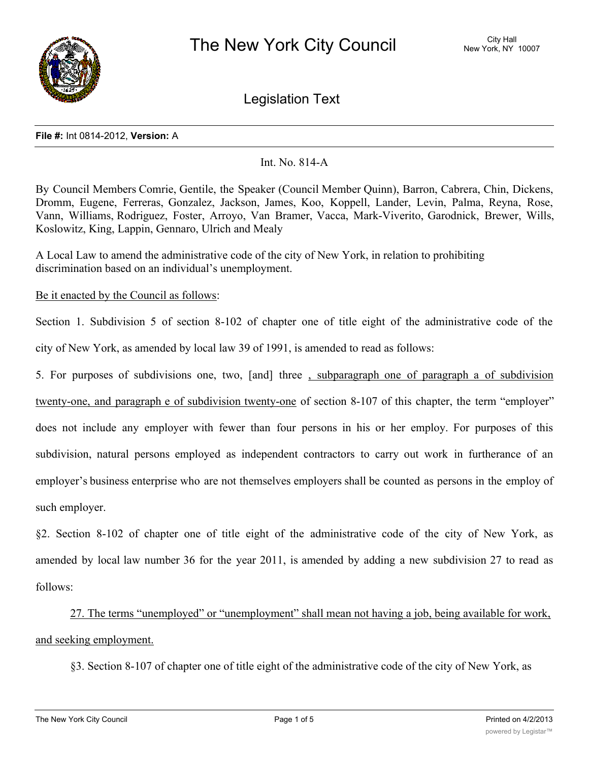

Legislation Text

#### **File #:** Int 0814-2012, **Version:** A

# Int. No. 814-A

By Council Members Comrie, Gentile, the Speaker (Council Member Quinn), Barron, Cabrera, Chin, Dickens, Dromm, Eugene, Ferreras, Gonzalez, Jackson, James, Koo, Koppell, Lander, Levin, Palma, Reyna, Rose, Vann, Williams, Rodriguez, Foster, Arroyo, Van Bramer, Vacca, Mark-Viverito, Garodnick, Brewer, Wills, Koslowitz, King, Lappin, Gennaro, Ulrich and Mealy

A Local Law to amend the administrative code of the city of New York, in relation to prohibiting discrimination based on an individual's unemployment.

Be it enacted by the Council as follows:

Section 1. Subdivision 5 of section 8-102 of chapter one of title eight of the administrative code of the city of New York, as amended by local law 39 of 1991, is amended to read as follows:

5. For purposes of subdivisions one, two, [and] three , subparagraph one of paragraph a of subdivision

twenty-one, and paragraph e of subdivision twenty-one of section 8-107 of this chapter, the term "employer"

does not include any employer with fewer than four persons in his or her employ. For purposes of this subdivision, natural persons employed as independent contractors to carry out work in furtherance of an employer's business enterprise who are not themselves employers shall be counted as persons in the employ of such employer.

§2. Section 8-102 of chapter one of title eight of the administrative code of the city of New York, as amended by local law number 36 for the year 2011, is amended by adding a new subdivision 27 to read as follows:

27. The terms "unemployed" or "unemployment" shall mean not having a job, being available for work, and seeking employment.

§3. Section 8-107 of chapter one of title eight of the administrative code of the city of New York, as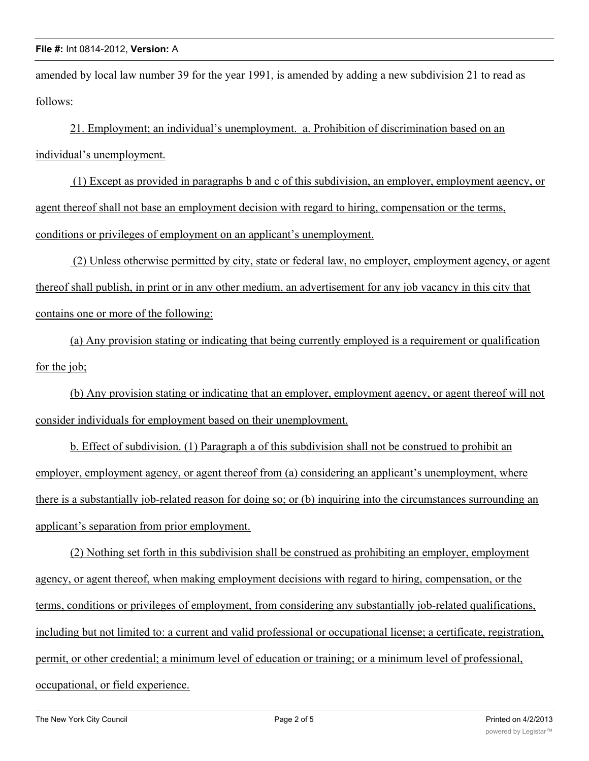amended by local law number 39 for the year 1991, is amended by adding a new subdivision 21 to read as follows:

21. Employment; an individual's unemployment. a. Prohibition of discrimination based on an individual's unemployment.

 (1) Except as provided in paragraphs b and c of this subdivision, an employer, employment agency, or agent thereof shall not base an employment decision with regard to hiring, compensation or the terms, conditions or privileges of employment on an applicant's unemployment.

 (2) Unless otherwise permitted by city, state or federal law, no employer, employment agency, or agent thereof shall publish, in print or in any other medium, an advertisement for any job vacancy in this city that contains one or more of the following:

(a) Any provision stating or indicating that being currently employed is a requirement or qualification for the job;

(b) Any provision stating or indicating that an employer, employment agency, or agent thereof will not consider individuals for employment based on their unemployment.

b. Effect of subdivision. (1) Paragraph a of this subdivision shall not be construed to prohibit an employer, employment agency, or agent thereof from (a) considering an applicant's unemployment, where there is a substantially job-related reason for doing so; or (b) inquiring into the circumstances surrounding an applicant's separation from prior employment.

(2) Nothing set forth in this subdivision shall be construed as prohibiting an employer, employment agency, or agent thereof, when making employment decisions with regard to hiring, compensation, or the terms, conditions or privileges of employment, from considering any substantially job-related qualifications, including but not limited to: a current and valid professional or occupational license; a certificate, registration, permit, or other credential; a minimum level of education or training; or a minimum level of professional, occupational, or field experience.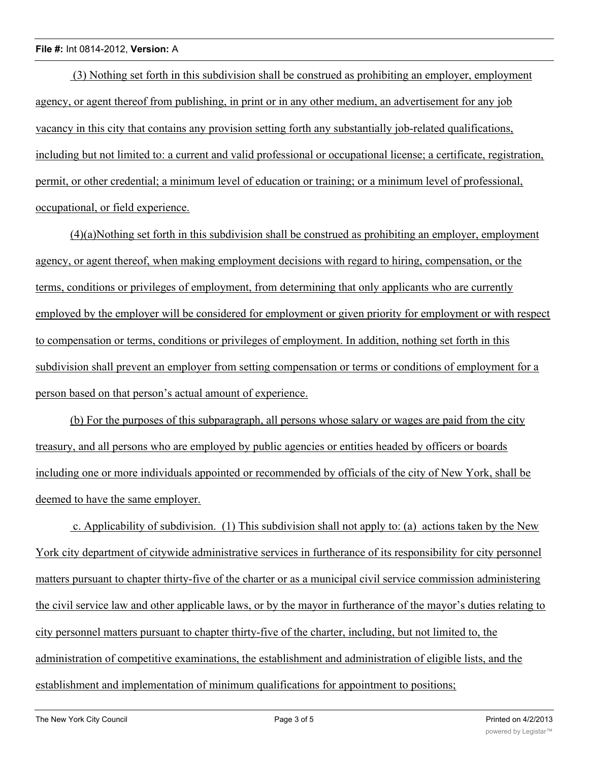(3) Nothing set forth in this subdivision shall be construed as prohibiting an employer, employment agency, or agent thereof from publishing, in print or in any other medium, an advertisement for any job vacancy in this city that contains any provision setting forth any substantially job-related qualifications, including but not limited to: a current and valid professional or occupational license; a certificate, registration, permit, or other credential; a minimum level of education or training; or a minimum level of professional, occupational, or field experience.

(4)(a)Nothing set forth in this subdivision shall be construed as prohibiting an employer, employment agency, or agent thereof, when making employment decisions with regard to hiring, compensation, or the terms, conditions or privileges of employment, from determining that only applicants who are currently employed by the employer will be considered for employment or given priority for employment or with respect to compensation or terms, conditions or privileges of employment. In addition, nothing set forth in this subdivision shall prevent an employer from setting compensation or terms or conditions of employment for a person based on that person's actual amount of experience.

(b) For the purposes of this subparagraph, all persons whose salary or wages are paid from the city treasury, and all persons who are employed by public agencies or entities headed by officers or boards including one or more individuals appointed or recommended by officials of the city of New York, shall be deemed to have the same employer.

 c. Applicability of subdivision. (1) This subdivision shall not apply to: (a) actions taken by the New York city department of citywide administrative services in furtherance of its responsibility for city personnel matters pursuant to chapter thirty-five of the charter or as a municipal civil service commission administering the civil service law and other applicable laws, or by the mayor in furtherance of the mayor's duties relating to city personnel matters pursuant to chapter thirty-five of the charter, including, but not limited to, the administration of competitive examinations, the establishment and administration of eligible lists, and the establishment and implementation of minimum qualifications for appointment to positions;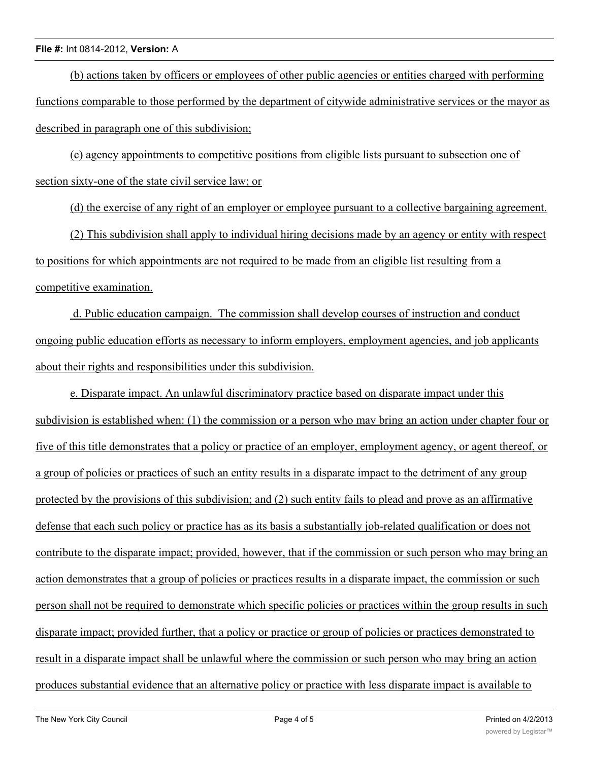(b) actions taken by officers or employees of other public agencies or entities charged with performing functions comparable to those performed by the department of citywide administrative services or the mayor as described in paragraph one of this subdivision;

(c) agency appointments to competitive positions from eligible lists pursuant to subsection one of section sixty-one of the state civil service law; or

(d) the exercise of any right of an employer or employee pursuant to a collective bargaining agreement.

(2) This subdivision shall apply to individual hiring decisions made by an agency or entity with respect to positions for which appointments are not required to be made from an eligible list resulting from a competitive examination.

 d. Public education campaign. The commission shall develop courses of instruction and conduct ongoing public education efforts as necessary to inform employers, employment agencies, and job applicants about their rights and responsibilities under this subdivision.

e. Disparate impact. An unlawful discriminatory practice based on disparate impact under this subdivision is established when: (1) the commission or a person who may bring an action under chapter four or five of this title demonstrates that a policy or practice of an employer, employment agency, or agent thereof, or a group of policies or practices of such an entity results in a disparate impact to the detriment of any group protected by the provisions of this subdivision; and (2) such entity fails to plead and prove as an affirmative defense that each such policy or practice has as its basis a substantially job-related qualification or does not contribute to the disparate impact; provided, however, that if the commission or such person who may bring an action demonstrates that a group of policies or practices results in a disparate impact, the commission or such person shall not be required to demonstrate which specific policies or practices within the group results in such disparate impact; provided further, that a policy or practice or group of policies or practices demonstrated to result in a disparate impact shall be unlawful where the commission or such person who may bring an action produces substantial evidence that an alternative policy or practice with less disparate impact is available to